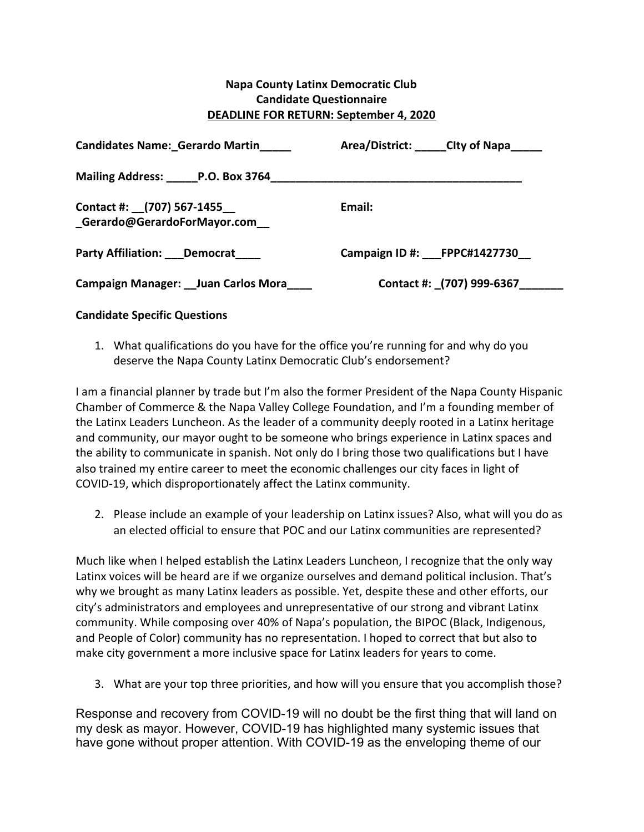## **Napa County Latinx Democratic Club Candidate Questionnaire DEADLINE FOR RETURN: September 4, 2020**

| <b>Candidates Name: Gerardo Martin</b>                      | Area/District: _____CIty of Napa_____ |
|-------------------------------------------------------------|---------------------------------------|
|                                                             |                                       |
| Contact #: (707) 567-1455<br>_Gerardo@GerardoForMayor.com__ | Email:                                |
| Party Affiliation: Democrat                                 | Campaign ID #: FPPC#1427730           |
| Campaign Manager: Juan Carlos Mora                          | Contact #: (707) 999-6367             |

## **Candidate Specific Questions**

1. What qualifications do you have for the office you're running for and why do you deserve the Napa County Latinx Democratic Club's endorsement?

I am a financial planner by trade but I'm also the former President of the Napa County Hispanic Chamber of Commerce & the Napa Valley College Foundation, and I'm a founding member of the Latinx Leaders Luncheon. As the leader of a community deeply rooted in a Latinx heritage and community, our mayor ought to be someone who brings experience in Latinx spaces and the ability to communicate in spanish. Not only do I bring those two qualifications but I have also trained my entire career to meet the economic challenges our city faces in light of COVID-19, which disproportionately affect the Latinx community.

2. Please include an example of your leadership on Latinx issues? Also, what will you do as an elected official to ensure that POC and our Latinx communities are represented?

Much like when I helped establish the Latinx Leaders Luncheon, I recognize that the only way Latinx voices will be heard are if we organize ourselves and demand political inclusion. That's why we brought as many Latinx leaders as possible. Yet, despite these and other efforts, our city's administrators and employees and unrepresentative of our strong and vibrant Latinx community. While composing over 40% of Napa's population, the BIPOC (Black, Indigenous, and People of Color) community has no representation. I hoped to correct that but also to make city government a more inclusive space for Latinx leaders for years to come.

3. What are your top three priorities, and how will you ensure that you accomplish those?

Response and recovery from COVID-19 will no doubt be the first thing that will land on my desk as mayor. However, COVID-19 has highlighted many systemic issues that have gone without proper attention. With COVID-19 as the enveloping theme of our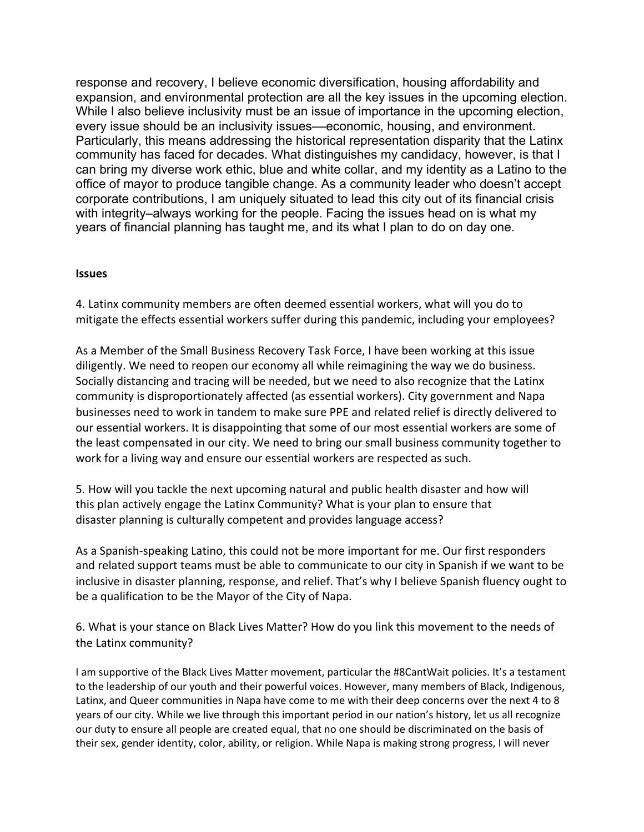response and recovery, I believe economic diversification, housing affordability and expansion, and environmental protection are all the key issues in the upcoming election. While I also believe inclusivity must be an issue of importance in the upcoming election, every issue should be an inclusivity issues––economic, housing, and environment. Particularly, this means addressing the historical representation disparity that the Latinx community has faced for decades. What distinguishes my candidacy, however, is that I can bring my diverse work ethic, blue and white collar, and my identity as a Latino to the office of mayor to produce tangible change. As a community leader who doesn't accept corporate contributions, I am uniquely situated to lead this city out of its financial crisis with integrity–always working for the people. Facing the issues head on is what my years of financial planning has taught me, and its what I plan to do on day one.

## **Issues**

4. Latinx community members are often deemed essential workers, what will you do to mitigate the effects essential workers suffer during this pandemic, including your employees?

As a Member of the Small Business Recovery Task Force, I have been working at this issue diligently. We need to reopen our economy all while reimagining the way we do business. Socially distancing and tracing will be needed, but we need to also recognize that the Latinx community is disproportionately affected (as essential workers). City government and Napa businesses need to work in tandem to make sure PPE and related relief is directly delivered to our essential workers. It is disappointing that some of our most essential workers are some of the least compensated in our city. We need to bring our small business community together to work for a living way and ensure our essential workers are respected as such.

5. How will you tackle the next upcoming natural and public health disaster and how will this plan actively engage the Latinx Community? What is your plan to ensure that disaster planning is culturally competent and provides language access?

As a Spanish-speaking Latino, this could not be more important for me. Our first responders and related support teams must be able to communicate to our city in Spanish if we want to be inclusive in disaster planning, response, and relief. That's why I believe Spanish fluency ought to be a qualification to be the Mayor of the City of Napa.

6. What is your stance on Black Lives Matter? How do you link this movement to the needs of the Latinx community?

I am supportive of the Black Lives Matter movement, particular the #8CantWait policies. It's a testament to the leadership of our youth and their powerful voices. However, many members of Black, Indigenous, Latinx, and Queer communities in Napa have come to me with their deep concerns over the next 4 to 8 years of our city. While we live through this important period in our nation's history, let us all recognize our duty to ensure all people are created equal, that no one should be discriminated on the basis of their sex, gender identity, color, ability, or religion. While Napa is making strong progress, I will never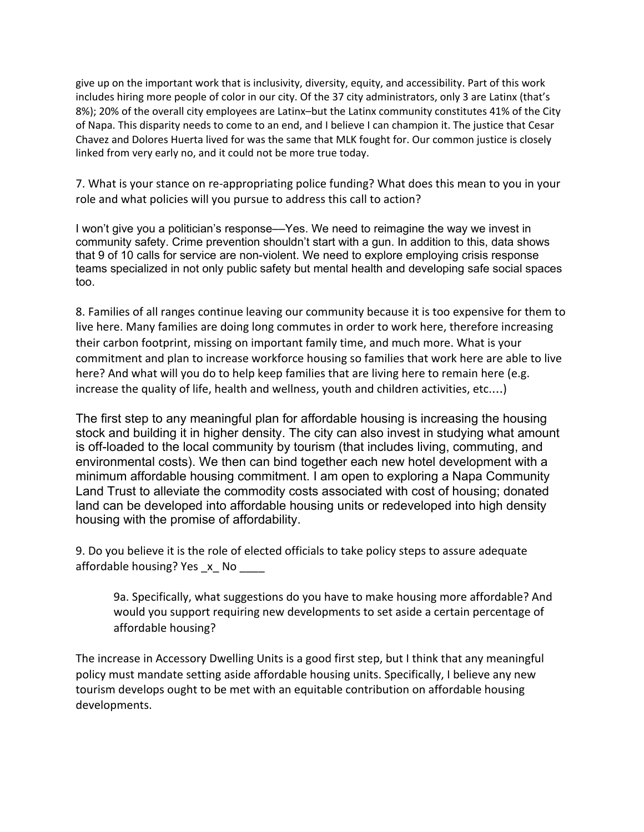give up on the important work that is inclusivity, diversity, equity, and accessibility. Part of this work includes hiring more people of color in our city. Of the 37 city administrators, only 3 are Latinx (that's 8%); 20% of the overall city employees are Latinx–but the Latinx community constitutes 41% of the City of Napa. This disparity needs to come to an end, and I believe I can champion it. The justice that Cesar Chavez and Dolores Huerta lived for was the same that MLK fought for. Our common justice is closely linked from very early no, and it could not be more true today.

7. What is your stance on re-appropriating police funding? What does this mean to you in your role and what policies will you pursue to address this call to action?

I won't give you a politician's response––Yes. We need to reimagine the way we invest in community safety. Crime prevention shouldn't start with a gun. In addition to this, data shows that 9 of 10 calls for service are non-violent. We need to explore employing crisis response teams specialized in not only public safety but mental health and developing safe social spaces too.

8. Families of all ranges continue leaving our community because it is too expensive for them to live here. Many families are doing long commutes in order to work here, therefore increasing their carbon footprint, missing on important family time, and much more. What is your commitment and plan to increase workforce housing so families that work here are able to live here? And what will you do to help keep families that are living here to remain here (e.g. increase the quality of life, health and wellness, youth and children activities, etc.…)

The first step to any meaningful plan for affordable housing is increasing the housing stock and building it in higher density. The city can also invest in studying what amount is off-loaded to the local community by tourism (that includes living, commuting, and environmental costs). We then can bind together each new hotel development with a minimum affordable housing commitment. I am open to exploring a Napa Community Land Trust to alleviate the commodity costs associated with cost of housing; donated land can be developed into affordable housing units or redeveloped into high density housing with the promise of affordability.

9. Do you believe it is the role of elected officials to take policy steps to assure adequate affordable housing? Yes x No

9a. Specifically, what suggestions do you have to make housing more affordable? And would you support requiring new developments to set aside a certain percentage of affordable housing?

The increase in Accessory Dwelling Units is a good first step, but I think that any meaningful policy must mandate setting aside affordable housing units. Specifically, I believe any new tourism develops ought to be met with an equitable contribution on affordable housing developments.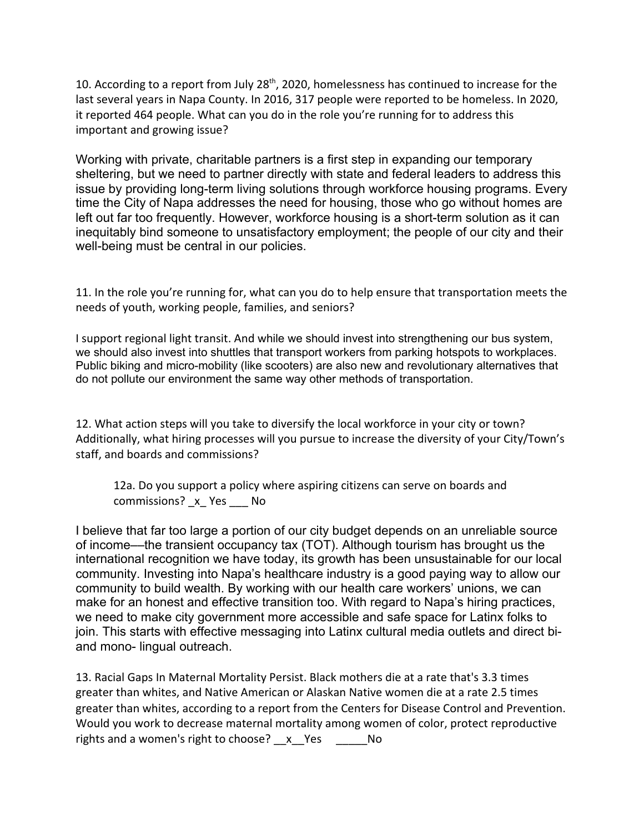10. According to a report from July 28<sup>th</sup>, 2020, homelessness has continued to increase for the last several years in Napa County. In 2016, 317 people were reported to be homeless. In 2020, it reported 464 people. What can you do in the role you're running for to address this important and growing issue?

Working with private, charitable partners is a first step in expanding our temporary sheltering, but we need to partner directly with state and federal leaders to address this issue by providing long-term living solutions through workforce housing programs. Every time the City of Napa addresses the need for housing, those who go without homes are left out far too frequently. However, workforce housing is a short-term solution as it can inequitably bind someone to unsatisfactory employment; the people of our city and their well-being must be central in our policies.

11. In the role you're running for, what can you do to help ensure that transportation meets the needs of youth, working people, families, and seniors?

I support regional light transit. And while we should invest into strengthening our bus system, we should also invest into shuttles that transport workers from parking hotspots to workplaces. Public biking and micro-mobility (like scooters) are also new and revolutionary alternatives that do not pollute our environment the same way other methods of transportation.

12. What action steps will you take to diversify the local workforce in your city or town? Additionally, what hiring processes will you pursue to increase the diversity of your City/Town's staff, and boards and commissions?

12a. Do you support a policy where aspiring citizens can serve on boards and commissions? x Yes No

I believe that far too large a portion of our city budget depends on an unreliable source of income––the transient occupancy tax (TOT). Although tourism has brought us the international recognition we have today, its growth has been unsustainable for our local community. Investing into Napa's healthcare industry is a good paying way to allow our community to build wealth. By working with our health care workers' unions, we can make for an honest and effective transition too. With regard to Napa's hiring practices, we need to make city government more accessible and safe space for Latinx folks to join. This starts with effective messaging into Latinx cultural media outlets and direct biand mono- lingual outreach.

13. Racial Gaps In Maternal Mortality Persist. Black mothers die at a rate that's 3.3 times greater than whites, and Native American or Alaskan Native women die at a rate 2.5 times greater than whites, according to a report from the Centers for Disease Control and Prevention. Would you work to decrease maternal mortality among women of color, protect reproductive rights and a women's right to choose? x Yes No